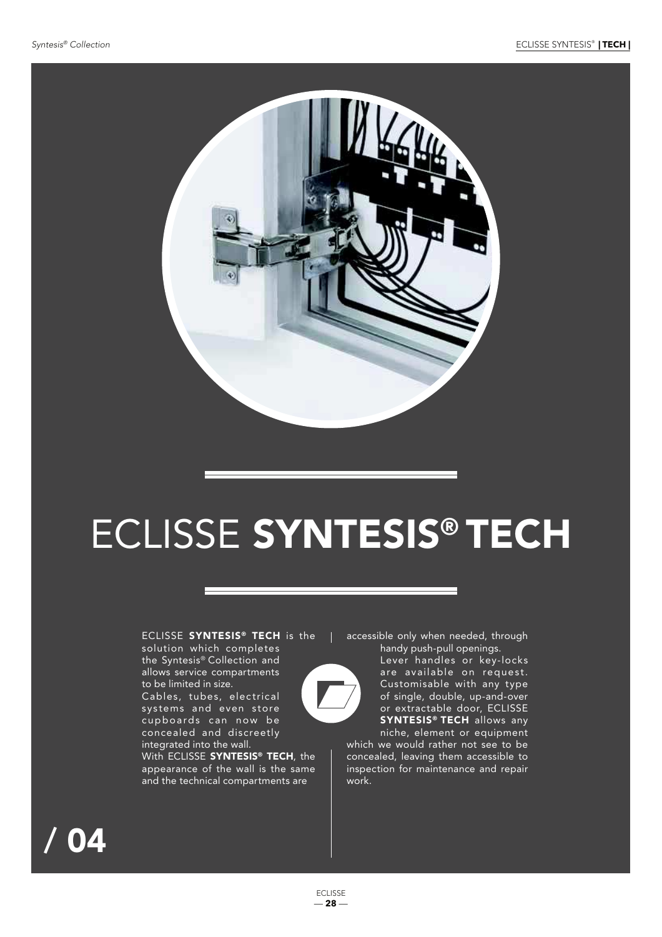

# ECLISSE SYNTESIS® TECH

### ECLISSE SYNTESIS® TECH is the

solution which completes the Syntesis® Collection and allows service compartments to be limited in size.

Cables, tubes, electrical systems and even store cupboards c an now be concealed and discreetly integrated into the wall.

With ECLISSE SYNTESIS<sup>®</sup> TECH, the appearance of the wall is the same and the technical compartments are

accessible only when needed, through handy push-pull openings.

> Lever handles or key-locks are available on request. Customisable with any type of single, double, up-and-over or extractable door, ECLISSE SYNTESIS® TECH allows any niche, element or equipment

which we would rather not see to be concealed, leaving them accessible to inspection for maintenance and repair work.

/ 04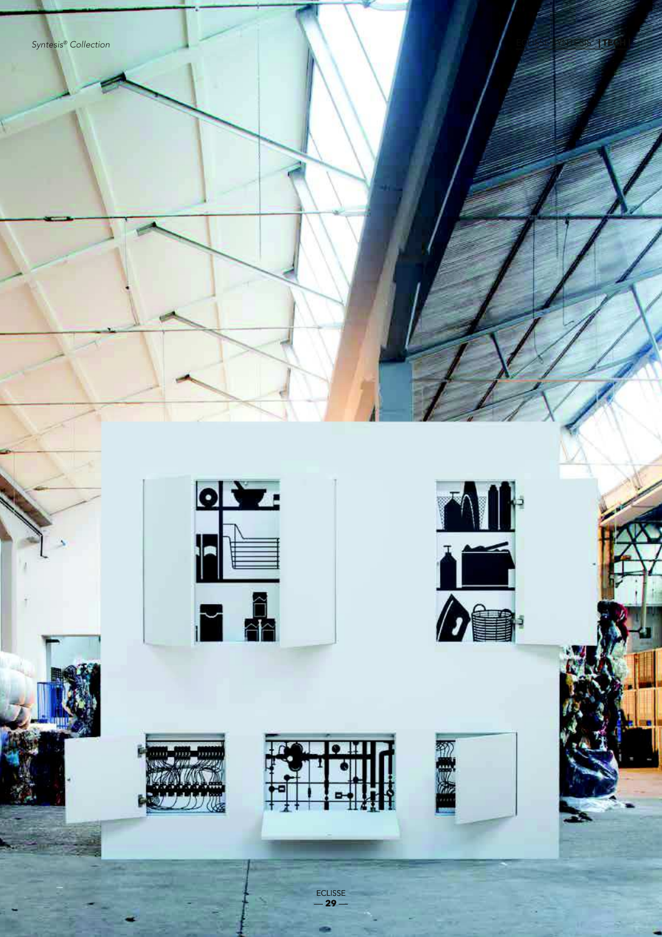





|  | I<br>l |
|--|--------|
|  |        |
|  |        |



® ECLISSE SYNTESIS **| TECH |**

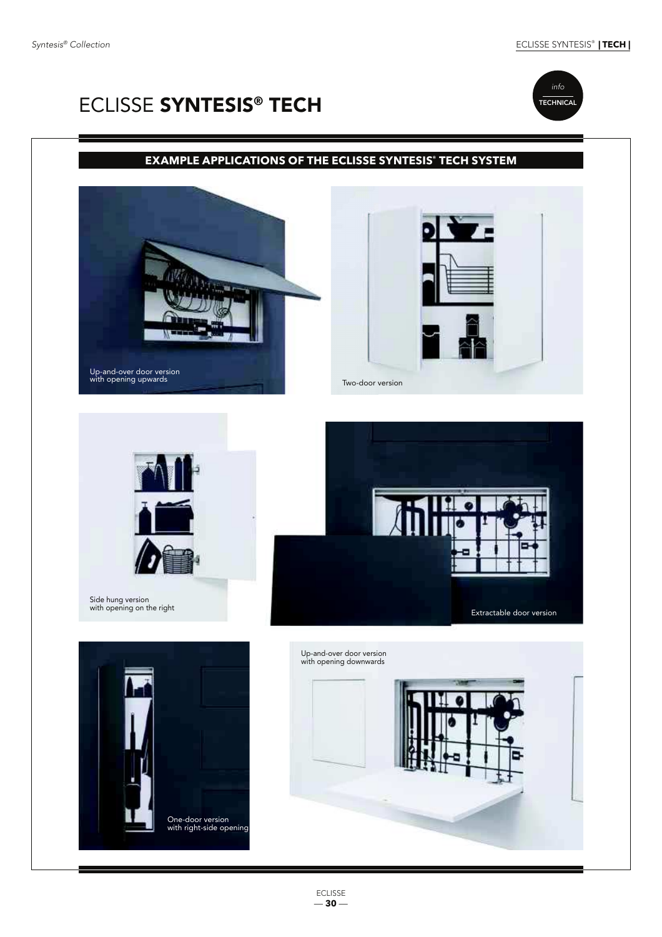# ECLISSE SYNTESIS® TECH

**EXAMPLE APPLICATIONS OF THE ECLISSE SYNTESIS® TECH SYSTEM**



# Up-and-over door version with opening upwards





Side hung version with opening on the right





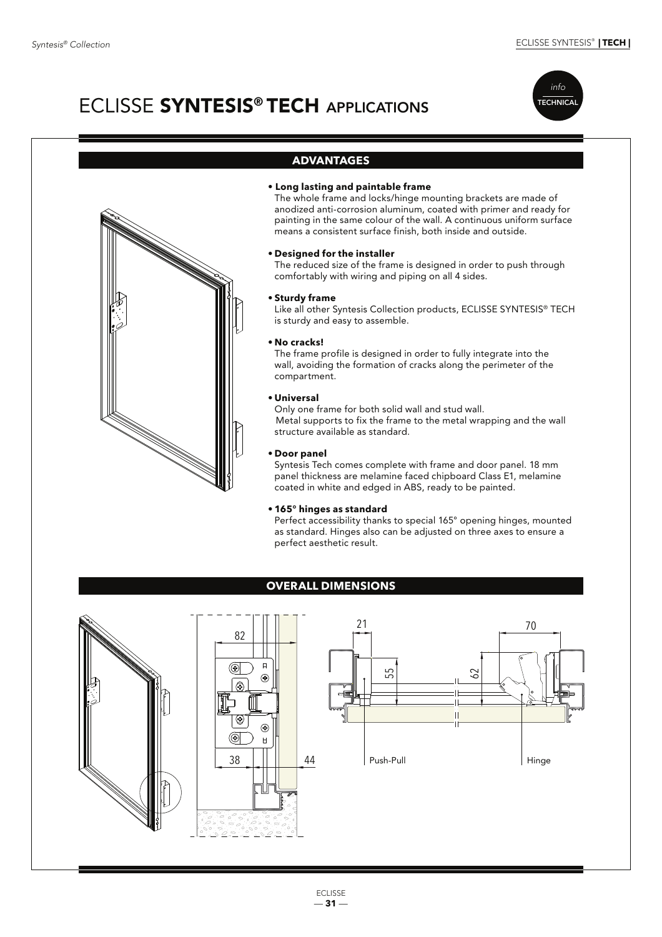# ECLISSE SYNTESIS® TECH APPLICATIONS





### **ADVANTAGES**



 The whole frame and locks/hinge mounting brackets are made of anodized anti-corrosion aluminum, coated with primer and ready for painting in the same colour of the wall. A continuous uniform surface means a consistent surface finish, both inside and outside.

### • **Designed for the installer**

 The reduced size of the frame is designed in order to push through comfortably with wiring and piping on all 4 sides.

### • **Sturdy frame**

 Like all other Syntesis Collection products, ECLISSE SYNTESIS® TECH is sturdy and easy to assemble.

### • **No cracks!**

 The frame profile is designed in order to fully integrate into the wall, avoiding the formation of cracks along the perimeter of the compartment.

### • **Universal**

 Only one frame for both solid wall and stud wall. Metal supports to fix the frame to the metal wrapping and the wall structure available as standard.

### • **Door panel**

 Syntesis Tech comes complete with frame and door panel. 18 mm panel thickness are melamine faced chipboard Class E1, melamine coated in white and edged in ABS, ready to be painted.

### • **165° hinges as standard**

 Perfect accessibility thanks to special 165° opening hinges, mounted as standard. Hinges also can be adjusted on three axes to ensure a perfect aesthetic result.

### **OVERALL DIMENSIONS**





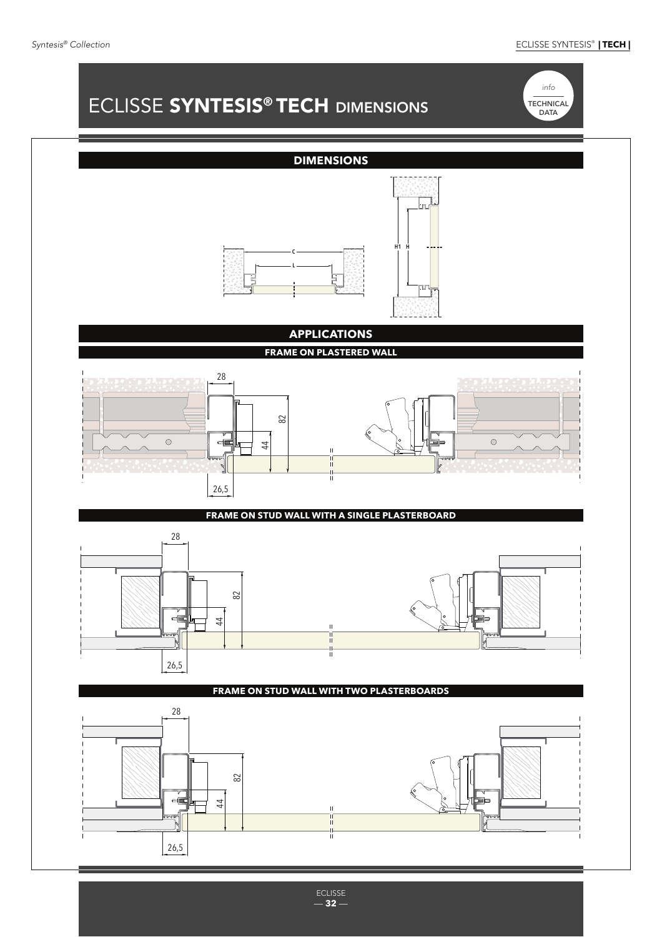## info ECLISSE SYNTESIS® TECH DIMENSIONS DATA **DIMENSIONS** ⊩m H1 H C L 厅 p **APPLICATIONS FRAME ON PLASTERED WALL** 28 82  $\circ$  $\circ$  $\equiv$ n).  $\overline{4}$  $\leq$ -ii 26,5 **FRAME ON STUD WALL WITH A SINGLE PLASTERBOARD** 28 82  $\ddot{4}$  $\overline{1}$ ון<br>וו 26,5 **FRAME ON STUD WALL WITH TWO PLASTERBOARDS** 28 82  $\frac{1}{2}$ 44  $\overline{\mathbf{u}}$ H 26,5